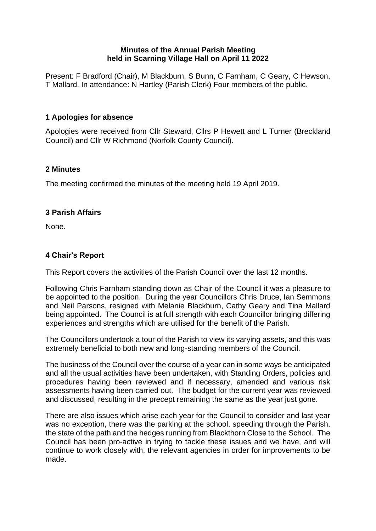### **Minutes of the Annual Parish Meeting held in Scarning Village Hall on April 11 2022**

Present: F Bradford (Chair), M Blackburn, S Bunn, C Farnham, C Geary, C Hewson, T Mallard. In attendance: N Hartley (Parish Clerk) Four members of the public.

# **1 Apologies for absence**

Apologies were received from Cllr Steward, Cllrs P Hewett and L Turner (Breckland Council) and Cllr W Richmond (Norfolk County Council).

### **2 Minutes**

The meeting confirmed the minutes of the meeting held 19 April 2019.

### **3 Parish Affairs**

None.

## **4 Chair's Report**

This Report covers the activities of the Parish Council over the last 12 months.

Following Chris Farnham standing down as Chair of the Council it was a pleasure to be appointed to the position. During the year Councillors Chris Druce, Ian Semmons and Neil Parsons, resigned with Melanie Blackburn, Cathy Geary and Tina Mallard being appointed. The Council is at full strength with each Councillor bringing differing experiences and strengths which are utilised for the benefit of the Parish.

The Councillors undertook a tour of the Parish to view its varying assets, and this was extremely beneficial to both new and long-standing members of the Council.

The business of the Council over the course of a year can in some ways be anticipated and all the usual activities have been undertaken, with Standing Orders, policies and procedures having been reviewed and if necessary, amended and various risk assessments having been carried out. The budget for the current year was reviewed and discussed, resulting in the precept remaining the same as the year just gone.

There are also issues which arise each year for the Council to consider and last year was no exception, there was the parking at the school, speeding through the Parish, the state of the path and the hedges running from Blackthorn Close to the School. The Council has been pro-active in trying to tackle these issues and we have, and will continue to work closely with, the relevant agencies in order for improvements to be made.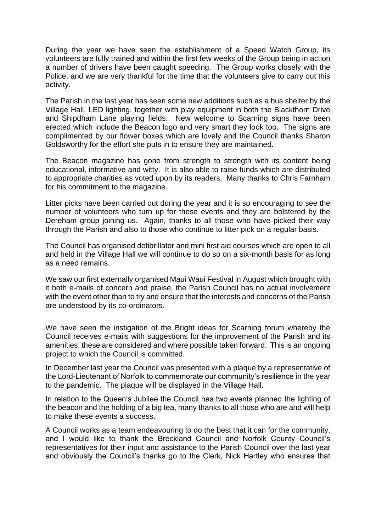During the year we have seen the establishment of a Speed Watch Group, its volunteers are fully trained and within the first few weeks of the Group being in action a number of drivers have been caught speeding. The Group works closely with the Police, and we are very thankful for the time that the volunteers give to carry out this activity.

The Parish in the last year has seen some new additions such as a bus shelter by the Village Hall, LED lighting, together with play equipment in both the Blackthorn Drive and Shipdham Lane playing fields. New welcome to Scarning signs have been erected which include the Beacon logo and very smart they look too. The signs are complimented by our flower boxes which are lovely and the Council thanks Sharon Goldsworthy for the effort she puts in to ensure they are maintained.

The Beacon magazine has gone from strength to strength with its content being educational, informative and witty. It is also able to raise funds which are distributed to appropriate charities as voted upon by its readers. Many thanks to Chris Farnham for his commitment to the magazine.

Litter picks have been carried out during the year and it is so encouraging to see the number of volunteers who turn up for these events and they are bolstered by the Dereham group joining us. Again, thanks to all those who have picked their way through the Parish and also to those who continue to litter pick on a regular basis.

The Council has organised defibrillator and mini first aid courses which are open to all and held in the Village Hall we will continue to do so on a six-month basis for as long as a need remains.

We saw our first externally organised Maui Waui Festival in August which brought with it both e-mails of concern and praise, the Parish Council has no actual involvement with the event other than to try and ensure that the interests and concerns of the Parish are understood by its co-ordinators.

We have seen the instigation of the Bright ideas for Scarning forum whereby the Council receives e-mails with suggestions for the improvement of the Parish and its amenities, these are considered and where possible taken forward. This is an ongoing project to which the Council is committed.

In December last year the Council was presented with a plaque by a representative of the Lord-Lieutenant of Norfolk to commemorate our community's resilience in the year to the pandemic. The plaque will be displayed in the Village Hall.

In relation to the Queen's Jubilee the Council has two events planned the lighting of the beacon and the holding of a big tea, many thanks to all those who are and will help to make these events a success.

A Council works as a team endeavouring to do the best that it can for the community, and I would like to thank the Breckland Council and Norfolk County Council's representatives for their input and assistance to the Parish Council over the last year and obviously the Council's thanks go to the Clerk, Nick Hartley who ensures that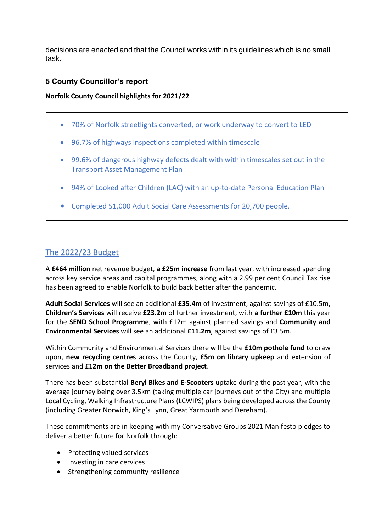decisions are enacted and that the Council works within its guidelines which is no small task.

# **5 County Councillor's report**

### **Norfolk County Council highlights for 2021/22**

- 70% of Norfolk streetlights converted, or work underway to convert to LED
- 96.7% of highways inspections completed within timescale
- 99.6% of dangerous highway defects dealt with within timescales set out in the Transport Asset Management Plan
- 94% of Looked after Children (LAC) with an up-to-date Personal Education Plan
- Completed 51,000 Adult Social Care Assessments for 20,700 people.

# The 2022/23 Budget

A **£464 million** net revenue budget, **a £25m increase** from last year, with increased spending across key service areas and capital programmes, along with a 2.99 per cent Council Tax rise has been agreed to enable Norfolk to build back better after the pandemic.

**Adult Social Services** will see an additional **£35.4m** of investment, against savings of £10.5m, **Children's Services** will receive **£23.2m** of further investment, with **a further £10m** this year for the **SEND School Programme**, with £12m against planned savings and **Community and Environmental Services** will see an additional **£11.2m**, against savings of £3.5m.

Within Community and Environmental Services there will be the **£10m pothole fund** to draw upon, **new recycling centres** across the County, **£5m on library upkeep** and extension of services and **£12m on the Better Broadband project**.

There has been substantial **Beryl Bikes and E-Scooters** uptake during the past year, with the average journey being over 3.5km (taking multiple car journeys out of the City) and multiple Local Cycling, Walking Infrastructure Plans (LCWIPS) plans being developed across the County (including Greater Norwich, King's Lynn, Great Yarmouth and Dereham).

These commitments are in keeping with my Conversative Groups 2021 Manifesto pledges to deliver a better future for Norfolk through:

- Protecting valued services
- Investing in care cervices
- Strengthening community resilience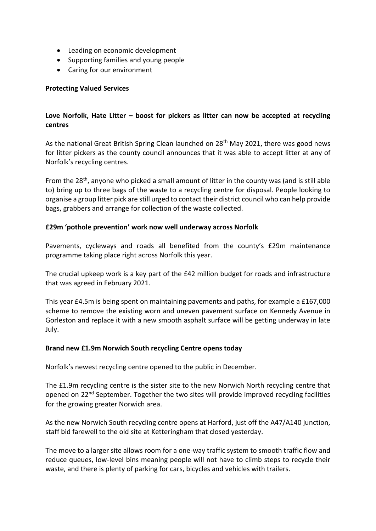- Leading on economic development
- Supporting families and young people
- Caring for our environment

### **Protecting Valued Services**

### **Love Norfolk, Hate Litter – boost for pickers as litter can now be accepted at recycling centres**

As the national Great British Spring Clean launched on 28<sup>th</sup> May 2021, there was good news for litter pickers as the county council announces that it was able to accept litter at any of Norfolk's recycling centres.

From the 28<sup>th</sup>, anyone who picked a small amount of litter in the county was (and is still able to) bring up to three bags of the waste to a recycling centre for disposal. People looking to organise a group litter pick are still urged to contact their district council who can help provide bags, grabbers and arrange for collection of the waste collected.

### **£29m 'pothole prevention' work now well underway across Norfolk**

Pavements, cycleways and roads all benefited from the county's £29m maintenance programme taking place right across Norfolk this year.

The crucial upkeep work is a key part of the £42 million budget for roads and infrastructure that was agreed in February 2021.

This year £4.5m is being spent on maintaining pavements and paths, for example a £167,000 scheme to remove the existing worn and uneven pavement surface on Kennedy Avenue in Gorleston and replace it with a new smooth asphalt surface will be getting underway in late July.

#### **Brand new £1.9m Norwich South recycling Centre opens today**

Norfolk's newest recycling centre opened to the public in December.

The £1.9m recycling centre is the sister site to the new Norwich North recycling centre that opened on  $22<sup>nd</sup>$  September. Together the two sites will provide improved recycling facilities for the growing greater Norwich area.

As the new Norwich South recycling centre opens at Harford, just off the A47/A140 junction, staff bid farewell to the old site at Ketteringham that closed yesterday.

The move to a larger site allows room for a one-way traffic system to smooth traffic flow and reduce queues, low-level bins meaning people will not have to climb steps to recycle their waste, and there is plenty of parking for cars, bicycles and vehicles with trailers.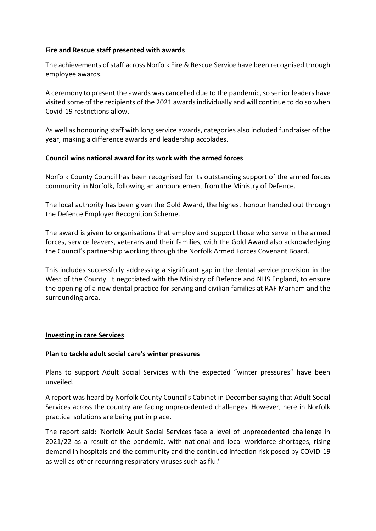### **Fire and Rescue staff presented with awards**

The achievements of staff across Norfolk Fire & Rescue Service have been recognised through employee awards.

A ceremony to present the awards was cancelled due to the pandemic, so senior leaders have visited some of the recipients of the 2021 awards individually and will continue to do so when Covid-19 restrictions allow.

As well as honouring staff with long service awards, categories also included fundraiser of the year, making a difference awards and leadership accolades.

### **Council wins national award for its work with the armed forces**

Norfolk County Council has been recognised for its outstanding support of the armed forces community in Norfolk, following an announcement from the Ministry of Defence.

The local authority has been given the Gold Award, the highest honour handed out through the Defence Employer Recognition Scheme.

The award is given to organisations that employ and support those who serve in the armed forces, service leavers, veterans and their families, with the Gold Award also acknowledging the Council's partnership working through the Norfolk Armed Forces Covenant Board.

This includes successfully addressing a significant gap in the dental service provision in the West of the County. It negotiated with the Ministry of Defence and NHS England, to ensure the opening of a new dental practice for serving and civilian families at RAF Marham and the surrounding area.

#### **Investing in care Services**

#### **Plan to tackle adult social care's winter pressures**

Plans to support Adult Social Services with the expected "winter pressures" have been unveiled.

A report was heard by Norfolk County Council's Cabinet in December saying that Adult Social Services across the country are facing unprecedented challenges. However, here in Norfolk practical solutions are being put in place.

The report said: 'Norfolk Adult Social Services face a level of unprecedented challenge in 2021/22 as a result of the pandemic, with national and local workforce shortages, rising demand in hospitals and the community and the continued infection risk posed by COVID-19 as well as other recurring respiratory viruses such as flu.'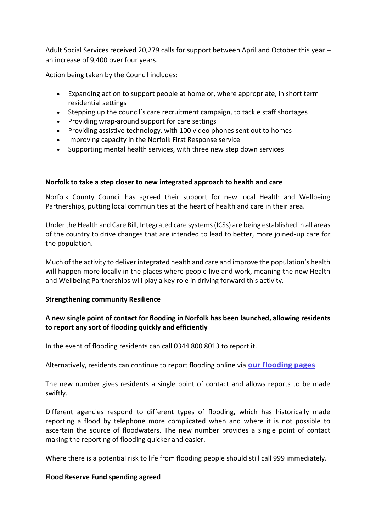Adult Social Services received 20,279 calls for support between April and October this year – an increase of 9,400 over four years.

Action being taken by the Council includes:

- Expanding action to support people at home or, where appropriate, in short term residential settings
- Stepping up the council's care recruitment campaign, to tackle staff shortages
- Providing wrap-around support for care settings
- Providing assistive technology, with 100 video phones sent out to homes
- Improving capacity in the Norfolk First Response service
- Supporting mental health services, with three new step down services

### **Norfolk to take a step closer to new integrated approach to health and care**

Norfolk County Council has agreed their support for new local Health and Wellbeing Partnerships, putting local communities at the heart of health and care in their area.

Under the Health and Care Bill, Integrated care systems (ICSs) are being established in all areas of the country to drive changes that are intended to lead to better, more joined-up care for the population.

Much of the activity to deliver integrated health and care and improve the population's health will happen more locally in the places where people live and work, meaning the new Health and Wellbeing Partnerships will play a key role in driving forward this activity.

### **Strengthening community Resilience**

### **A new single point of contact for flooding in Norfolk has been launched, allowing residents to report any sort of flooding quickly and efficiently**

In the event of flooding residents can call 0344 800 8013 to report it.

Alternatively, residents can continue to report flooding online via **[our flooding pages](https://www.norfolk.gov.uk/safety/floods)**.

The new number gives residents a single point of contact and allows reports to be made swiftly.

Different agencies respond to different types of flooding, which has historically made reporting a flood by telephone more complicated when and where it is not possible to ascertain the source of floodwaters. The new number provides a single point of contact making the reporting of flooding quicker and easier.

Where there is a potential risk to life from flooding people should still call 999 immediately.

#### **Flood Reserve Fund spending agreed**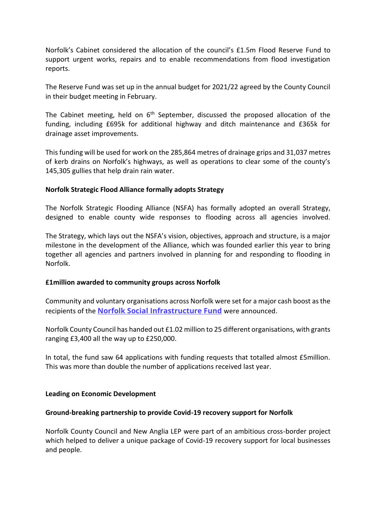Norfolk's Cabinet considered the allocation of the council's £1.5m Flood Reserve Fund to support urgent works, repairs and to enable recommendations from flood investigation reports.

The Reserve Fund was set up in the annual budget for 2021/22 agreed by the County Council in their budget meeting in February.

The Cabinet meeting, held on  $6<sup>th</sup>$  September, discussed the proposed allocation of the funding, including £695k for additional highway and ditch maintenance and £365k for drainage asset improvements.

This funding will be used for work on the 285,864 metres of drainage grips and 31,037 metres of kerb drains on Norfolk's highways, as well as operations to clear some of the county's 145,305 gullies that help drain rain water.

### **Norfolk Strategic Flood Alliance formally adopts Strategy**

The Norfolk Strategic Flooding Alliance (NSFA) has formally adopted an overall Strategy, designed to enable county wide responses to flooding across all agencies involved.

The Strategy, which lays out the NSFA's vision, objectives, approach and structure, is a major milestone in the development of the Alliance, which was founded earlier this year to bring together all agencies and partners involved in planning for and responding to flooding in Norfolk.

#### **£1million awarded to community groups across Norfolk**

Community and voluntary organisations across Norfolk were set for a major cash boost as the recipients of the **[Norfolk Social Infrastructure Fund](https://www.norfolk.gov.uk/business/grants-and-funding/norfolk-social-infrastructure-fund)** were announced.

Norfolk County Council has handed out £1.02 million to 25 different organisations, with grants ranging £3,400 all the way up to £250,000.

In total, the fund saw 64 applications with funding requests that totalled almost £5million. This was more than double the number of applications received last year.

#### **Leading on Economic Development**

#### **Ground-breaking partnership to provide Covid-19 recovery support for Norfolk**

Norfolk County Council and New Anglia LEP were part of an ambitious cross-border project which helped to deliver a unique package of Covid-19 recovery support for local businesses and people.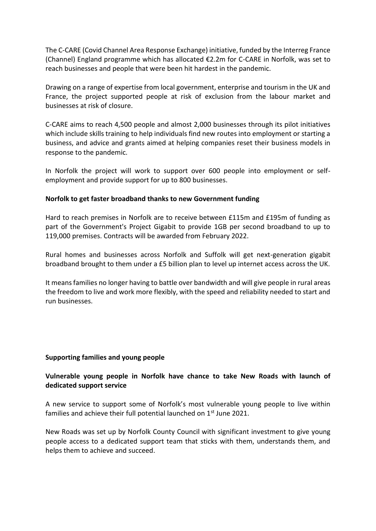The C-CARE (Covid Channel Area Response Exchange) initiative, funded by the Interreg France (Channel) England programme which has allocated €2.2m for C-CARE in Norfolk, was set to reach businesses and people that were been hit hardest in the pandemic.

Drawing on a range of expertise from local government, enterprise and tourism in the UK and France, the project supported people at risk of exclusion from the labour market and businesses at risk of closure.

C-CARE aims to reach 4,500 people and almost 2,000 businesses through its pilot initiatives which include skills training to help individuals find new routes into employment or starting a business, and advice and grants aimed at helping companies reset their business models in response to the pandemic.

In Norfolk the project will work to support over 600 people into employment or selfemployment and provide support for up to 800 businesses.

#### **Norfolk to get faster broadband thanks to new Government funding**

Hard to reach premises in Norfolk are to receive between £115m and £195m of funding as part of the Government's Project Gigabit to provide 1GB per second broadband to up to 119,000 premises. Contracts will be awarded from February 2022.

Rural homes and businesses across Norfolk and Suffolk will get next-generation gigabit broadband brought to them under a £5 billion plan to level up internet access across the UK.

It means families no longer having to battle over bandwidth and will give people in rural areas the freedom to live and work more flexibly, with the speed and reliability needed to start and run businesses.

#### **Supporting families and young people**

### **Vulnerable young people in Norfolk have chance to take New Roads with launch of dedicated support service**

A new service to support some of Norfolk's most vulnerable young people to live within families and achieve their full potential launched on 1<sup>st</sup> June 2021.

New Roads was set up by Norfolk County Council with significant investment to give young people access to a dedicated support team that sticks with them, understands them, and helps them to achieve and succeed.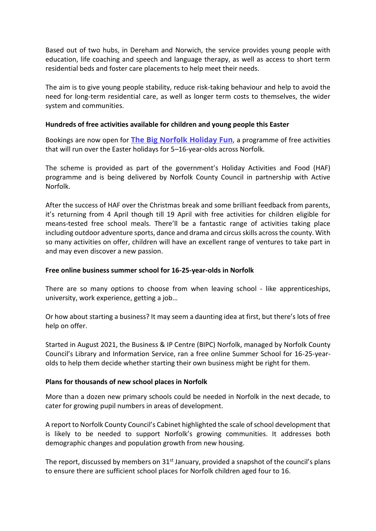Based out of two hubs, in Dereham and Norwich, the service provides young people with education, life coaching and speech and language therapy, as well as access to short term residential beds and foster care placements to help meet their needs.

The aim is to give young people stability, reduce risk-taking behaviour and help to avoid the need for long-term residential care, as well as longer term costs to themselves, the wider system and communities.

#### **Hundreds of free activities available for children and young people this Easter**

Bookings are now open for **[The Big Norfolk Holiday Fun](https://www.activenorfolk.org/public/bignorfolkholidayfun/)**, a programme of free activities that will run over the Easter holidays for 5–16-year-olds across Norfolk.

The scheme is provided as part of the government's Holiday Activities and Food (HAF) programme and is being delivered by Norfolk County Council in partnership with Active Norfolk.

After the success of HAF over the Christmas break and some brilliant feedback from parents, it's returning from 4 April though till 19 April with free activities for children eligible for means-tested free school meals. There'll be a fantastic range of activities taking place including outdoor adventure sports, dance and drama and circus skills across the county. With so many activities on offer, children will have an excellent range of ventures to take part in and may even discover a new passion.

#### **Free online business summer school for 16-25-year-olds in Norfolk**

There are so many options to choose from when leaving school - like apprenticeships, university, work experience, getting a job…

Or how about starting a business? It may seem a daunting idea at first, but there's lots of free help on offer.

Started in August 2021, the Business & IP Centre (BIPC) Norfolk, managed by Norfolk County Council's Library and Information Service, ran a free online Summer School for 16-25-yearolds to help them decide whether starting their own business might be right for them.

#### **Plans for thousands of new school places in Norfolk**

More than a dozen new primary schools could be needed in Norfolk in the next decade, to cater for growing pupil numbers in areas of development.

A report to Norfolk County Council's Cabinet highlighted the scale of school development that is likely to be needed to support Norfolk's growing communities. It addresses both demographic changes and population growth from new housing.

The report, discussed by members on  $31<sup>st</sup>$  January, provided a snapshot of the council's plans to ensure there are sufficient school places for Norfolk children aged four to 16.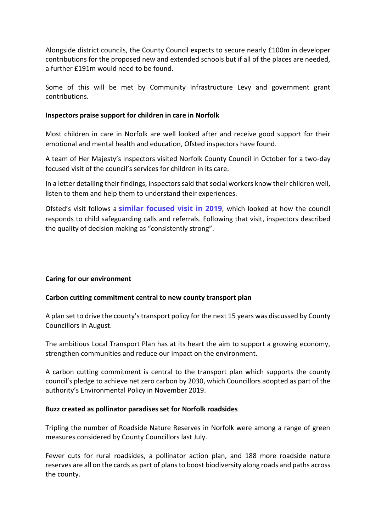Alongside district councils, the County Council expects to secure nearly £100m in developer contributions for the proposed new and extended schools but if all of the places are needed, a further £191m would need to be found.

Some of this will be met by Community Infrastructure Levy and government grant contributions.

#### **Inspectors praise support for children in care in Norfolk**

Most children in care in Norfolk are well looked after and receive good support for their emotional and mental health and education, Ofsted inspectors have found.

A team of Her Majesty's Inspectors visited Norfolk County Council in October for a two-day focused visit of the council's services for children in its care.

In a letter detailing their findings, inspectors said that social workers know their children well, listen to them and help them to understand their experiences.

Ofsted's visit follows a **[similar focused visit in 2019](https://www.norfolk.gov.uk/news/2019/10/consistently-strong-decision-making-helping-families-get-the-right-help-first-time)**, which looked at how the council responds to child safeguarding calls and referrals. Following that visit, inspectors described the quality of decision making as "consistently strong".

#### **Caring for our environment**

#### **Carbon cutting commitment central to new county transport plan**

A plan set to drive the county's transport policy for the next 15 years was discussed by County Councillors in August.

The ambitious Local Transport Plan has at its heart the aim to support a growing economy, strengthen communities and reduce our impact on the environment.

A carbon cutting commitment is central to the transport plan which supports the county council's pledge to achieve net zero carbon by 2030, which Councillors adopted as part of the authority's Environmental Policy in November 2019.

#### **Buzz created as pollinator paradises set for Norfolk roadsides**

Tripling the number of Roadside Nature Reserves in Norfolk were among a range of green measures considered by County Councillors last July.

Fewer cuts for rural roadsides, a pollinator action plan, and 188 more roadside nature reserves are all on the cards as part of plans to boost biodiversity along roads and paths across the county.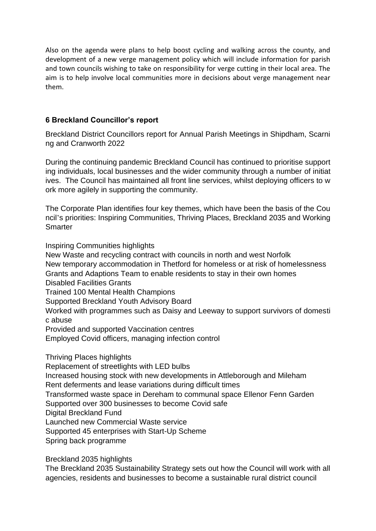Also on the agenda were plans to help boost cycling and walking across the county, and development of a new verge management policy which will include information for parish and town councils wishing to take on responsibility for verge cutting in their local area. The aim is to help involve local communities more in decisions about verge management near them.

# **6 Breckland Councillor's report**

Breckland District Councillors report for Annual Parish Meetings in Shipdham, Scarni ng and Cranworth 2022

During the continuing pandemic Breckland Council has continued to prioritise support ing individuals, local businesses and the wider community through a number of initiat ives. The Council has maintained all front line services, whilst deploying officers to w ork more agilely in supporting the community.

The Corporate Plan identifies four key themes, which have been the basis of the Cou ncil's priorities: Inspiring Communities, Thriving Places, Breckland 2035 and Working **Smarter** 

Inspiring Communities highlights

New Waste and recycling contract with councils in north and west Norfolk New temporary accommodation in Thetford for homeless or at risk of homelessness Grants and Adaptions Team to enable residents to stay in their own homes Disabled Facilities Grants Trained 100 Mental Health Champions Supported Breckland Youth Advisory Board Worked with programmes such as Daisy and Leeway to support survivors of domesti c abuse Provided and supported Vaccination centres Employed Covid officers, managing infection control Thriving Places highlights Replacement of streetlights with LED bulbs

Increased housing stock with new developments in Attleborough and Mileham

Rent deferments and lease variations during difficult times

Transformed waste space in Dereham to communal space Ellenor Fenn Garden

Supported over 300 businesses to become Covid safe

Digital Breckland Fund

Launched new Commercial Waste service

Supported 45 enterprises with Start-Up Scheme

Spring back programme

Breckland 2035 highlights

The Breckland 2035 Sustainability Strategy sets out how the Council will work with all agencies, residents and businesses to become a sustainable rural district council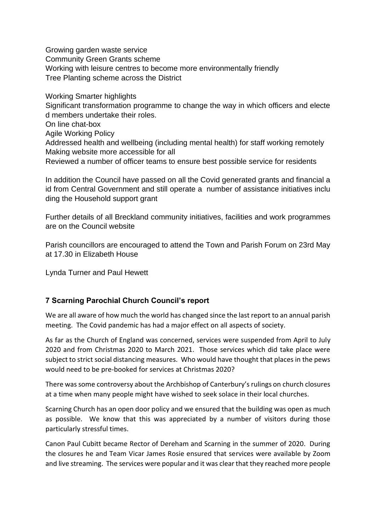Growing garden waste service Community Green Grants scheme Working with leisure centres to become more environmentally friendly Tree Planting scheme across the District

Working Smarter highlights

Significant transformation programme to change the way in which officers and electe d members undertake their roles.

On line chat-box

Agile Working Policy

Addressed health and wellbeing (including mental health) for staff working remotely Making website more accessible for all

Reviewed a number of officer teams to ensure best possible service for residents

In addition the Council have passed on all the Covid generated grants and financial a id from Central Government and still operate a number of assistance initiatives inclu ding the Household support grant

Further details of all Breckland community initiatives, facilities and work programmes are on the Council website

Parish councillors are encouraged to attend the Town and Parish Forum on 23rd May at 17.30 in Elizabeth House

Lynda Turner and Paul Hewett

# **7 Scarning Parochial Church Council's report**

We are all aware of how much the world has changed since the last report to an annual parish meeting. The Covid pandemic has had a major effect on all aspects of society.

As far as the Church of England was concerned, services were suspended from April to July 2020 and from Christmas 2020 to March 2021. Those services which did take place were subject to strict social distancing measures. Who would have thought that places in the pews would need to be pre-booked for services at Christmas 2020?

There was some controversy about the Archbishop of Canterbury's rulings on church closures at a time when many people might have wished to seek solace in their local churches.

Scarning Church has an open door policy and we ensured that the building was open as much as possible. We know that this was appreciated by a number of visitors during those particularly stressful times.

Canon Paul Cubitt became Rector of Dereham and Scarning in the summer of 2020. During the closures he and Team Vicar James Rosie ensured that services were available by Zoom and live streaming. The services were popular and it was clear that they reached more people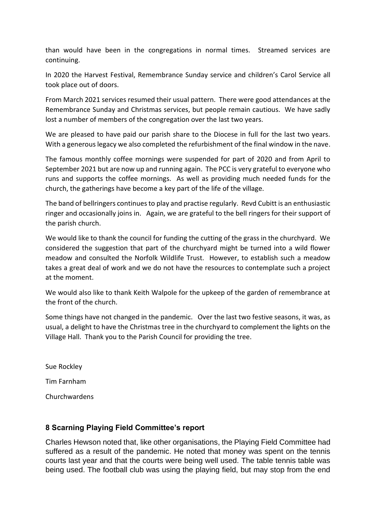than would have been in the congregations in normal times. Streamed services are continuing.

In 2020 the Harvest Festival, Remembrance Sunday service and children's Carol Service all took place out of doors.

From March 2021 services resumed their usual pattern. There were good attendances at the Remembrance Sunday and Christmas services, but people remain cautious. We have sadly lost a number of members of the congregation over the last two years.

We are pleased to have paid our parish share to the Diocese in full for the last two years. With a generous legacy we also completed the refurbishment of the final window in the nave.

The famous monthly coffee mornings were suspended for part of 2020 and from April to September 2021 but are now up and running again. The PCC is very grateful to everyone who runs and supports the coffee mornings. As well as providing much needed funds for the church, the gatherings have become a key part of the life of the village.

The band of bellringers continues to play and practise regularly. Revd Cubitt is an enthusiastic ringer and occasionally joins in. Again, we are grateful to the bell ringers for their support of the parish church.

We would like to thank the council for funding the cutting of the grass in the churchyard. We considered the suggestion that part of the churchyard might be turned into a wild flower meadow and consulted the Norfolk Wildlife Trust. However, to establish such a meadow takes a great deal of work and we do not have the resources to contemplate such a project at the moment.

We would also like to thank Keith Walpole for the upkeep of the garden of remembrance at the front of the church.

Some things have not changed in the pandemic. Over the last two festive seasons, it was, as usual, a delight to have the Christmas tree in the churchyard to complement the lights on the Village Hall. Thank you to the Parish Council for providing the tree.

Sue Rockley Tim Farnham Churchwardens

# **8 Scarning Playing Field Committee's report**

Charles Hewson noted that, like other organisations, the Playing Field Committee had suffered as a result of the pandemic. He noted that money was spent on the tennis courts last year and that the courts were being well used. The table tennis table was being used. The football club was using the playing field, but may stop from the end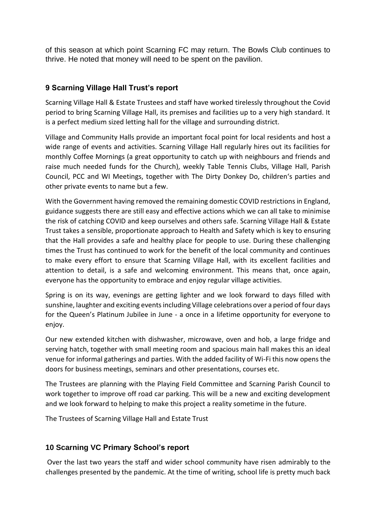of this season at which point Scarning FC may return. The Bowls Club continues to thrive. He noted that money will need to be spent on the pavilion.

# **9 Scarning Village Hall Trust's report**

Scarning Village Hall & Estate Trustees and staff have worked tirelessly throughout the Covid period to bring Scarning Village Hall, its premises and facilities up to a very high standard. It is a perfect medium sized letting hall for the village and surrounding district.

Village and Community Halls provide an important focal point for local residents and host a wide range of events and activities. Scarning Village Hall regularly hires out its facilities for monthly Coffee Mornings (a great opportunity to catch up with neighbours and friends and raise much needed funds for the Church), weekly Table Tennis Clubs, Village Hall, Parish Council, PCC and WI Meetings, together with The Dirty Donkey Do, children's parties and other private events to name but a few.

With the Government having removed the remaining domestic COVID restrictions in England, guidance suggests there are still easy and effective actions which we can all take to minimise the risk of catching COVID and keep ourselves and others safe. Scarning Village Hall & Estate Trust takes a sensible, proportionate approach to Health and Safety which is key to ensuring that the Hall provides a safe and healthy place for people to use. During these challenging times the Trust has continued to work for the benefit of the local community and continues to make every effort to ensure that Scarning Village Hall, with its excellent facilities and attention to detail, is a safe and welcoming environment. This means that, once again, everyone has the opportunity to embrace and enjoy regular village activities.

Spring is on its way, evenings are getting lighter and we look forward to days filled with sunshine, laughter and exciting events including Village celebrations over a period of four days for the Queen's Platinum Jubilee in June - a once in a lifetime opportunity for everyone to enjoy.

Our new extended kitchen with dishwasher, microwave, oven and hob, a large fridge and serving hatch, together with small meeting room and spacious main hall makes this an ideal venue for informal gatherings and parties. With the added facility of Wi-Fi this now opens the doors for business meetings, seminars and other presentations, courses etc.

The Trustees are planning with the Playing Field Committee and Scarning Parish Council to work together to improve off road car parking. This will be a new and exciting development and we look forward to helping to make this project a reality sometime in the future.

The Trustees of Scarning Village Hall and Estate Trust

### **10 Scarning VC Primary School's report**

Over the last two years the staff and wider school community have risen admirably to the challenges presented by the pandemic. At the time of writing, school life is pretty much back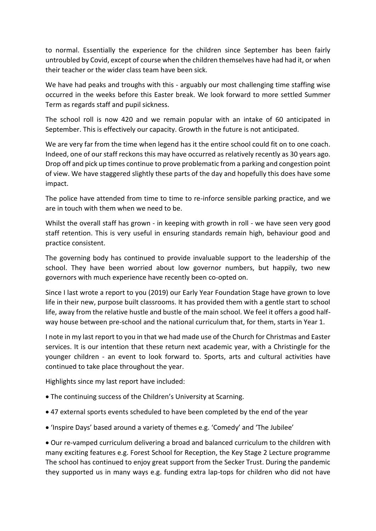to normal. Essentially the experience for the children since September has been fairly untroubled by Covid, except of course when the children themselves have had had it, or when their teacher or the wider class team have been sick.

We have had peaks and troughs with this - arguably our most challenging time staffing wise occurred in the weeks before this Easter break. We look forward to more settled Summer Term as regards staff and pupil sickness.

The school roll is now 420 and we remain popular with an intake of 60 anticipated in September. This is effectively our capacity. Growth in the future is not anticipated.

We are very far from the time when legend has it the entire school could fit on to one coach. Indeed, one of our staff reckons this may have occurred as relatively recently as 30 years ago. Drop off and pick up times continue to prove problematic from a parking and congestion point of view. We have staggered slightly these parts of the day and hopefully this does have some impact.

The police have attended from time to time to re-inforce sensible parking practice, and we are in touch with them when we need to be.

Whilst the overall staff has grown - in keeping with growth in roll - we have seen very good staff retention. This is very useful in ensuring standards remain high, behaviour good and practice consistent.

The governing body has continued to provide invaluable support to the leadership of the school. They have been worried about low governor numbers, but happily, two new governors with much experience have recently been co-opted on.

Since I last wrote a report to you (2019) our Early Year Foundation Stage have grown to love life in their new, purpose built classrooms. It has provided them with a gentle start to school life, away from the relative hustle and bustle of the main school. We feel it offers a good halfway house between pre-school and the national curriculum that, for them, starts in Year 1.

I note in my last report to you in that we had made use of the Church for Christmas and Easter services. It is our intention that these return next academic year, with a Christingle for the younger children - an event to look forward to. Sports, arts and cultural activities have continued to take place throughout the year.

Highlights since my last report have included:

- The continuing success of the Children's University at Scarning.
- 47 external sports events scheduled to have been completed by the end of the year
- 'Inspire Days' based around a variety of themes e.g. 'Comedy' and 'The Jubilee'

• Our re-vamped curriculum delivering a broad and balanced curriculum to the children with many exciting features e.g. Forest School for Reception, the Key Stage 2 Lecture programme The school has continued to enjoy great support from the Secker Trust. During the pandemic they supported us in many ways e.g. funding extra lap-tops for children who did not have